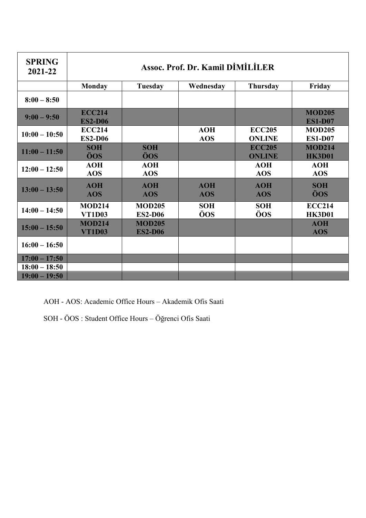| <b>SPRING</b><br>2021-22 | Assoc. Prof. Dr. Kamil DIMILILER |                                 |                          |                                |                                 |  |  |  |
|--------------------------|----------------------------------|---------------------------------|--------------------------|--------------------------------|---------------------------------|--|--|--|
|                          | <b>Monday</b>                    | <b>Tuesday</b>                  | Wednesday                | <b>Thursday</b>                | Friday                          |  |  |  |
| $8:00 - 8:50$            |                                  |                                 |                          |                                |                                 |  |  |  |
| $9:00 - 9:50$            | <b>ECC214</b><br><b>ES2-D06</b>  |                                 |                          |                                | <b>MOD205</b><br><b>ES1-D07</b> |  |  |  |
| $10:00 - 10:50$          | <b>ECC214</b><br><b>ES2-D06</b>  |                                 | <b>AOH</b><br><b>AOS</b> | <b>ECC205</b><br><b>ONLINE</b> | <b>MOD205</b><br><b>ES1-D07</b> |  |  |  |
| $11:00 - 11:50$          | <b>SOH</b><br>ÖOS                | <b>SOH</b><br>ÖOS               |                          | <b>ECC205</b><br><b>ONLINE</b> | <b>MOD214</b><br><b>HK3D01</b>  |  |  |  |
| $12:00 - 12:50$          | <b>AOH</b><br><b>AOS</b>         | <b>AOH</b><br><b>AOS</b>        |                          | <b>AOH</b><br><b>AOS</b>       | <b>AOH</b><br><b>AOS</b>        |  |  |  |
| $13:00 - 13:50$          | <b>AOH</b><br><b>AOS</b>         | <b>AOH</b><br><b>AOS</b>        | <b>AOH</b><br><b>AOS</b> | <b>AOH</b><br><b>AOS</b>       | <b>SOH</b><br>ÖOS               |  |  |  |
| $14:00 - 14:50$          | <b>MOD214</b><br><b>VT1D03</b>   | <b>MOD205</b><br><b>ES2-D06</b> | <b>SOH</b><br>ÖOS        | <b>SOH</b><br>ÖOS              | <b>ECC214</b><br><b>HK3D01</b>  |  |  |  |
| $15:00 - 15:50$          | <b>MOD214</b><br><b>VT1D03</b>   | <b>MOD205</b><br><b>ES2-D06</b> |                          |                                | <b>AOH</b><br><b>AOS</b>        |  |  |  |
| $16:00 - 16:50$          |                                  |                                 |                          |                                |                                 |  |  |  |
| $17:00 - 17:50$          |                                  |                                 |                          |                                |                                 |  |  |  |
| $18:00 - 18:50$          |                                  |                                 |                          |                                |                                 |  |  |  |
| $19:00 - 19:50$          |                                  |                                 |                          |                                |                                 |  |  |  |

AOH - AOS: Academic Office Hours – Akademik Ofis Saati

SOH - ÖOS : Student Office Hours – Öğrenci Ofis Saati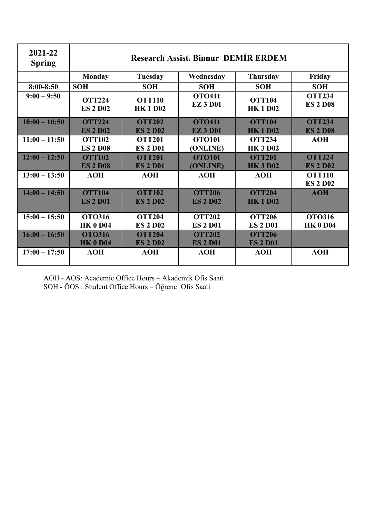| 2021-22<br><b>Spring</b> | <b>Research Assist. Binnur DEMIR ERDEM</b> |                                  |                                  |                                  |                                  |  |  |  |
|--------------------------|--------------------------------------------|----------------------------------|----------------------------------|----------------------------------|----------------------------------|--|--|--|
|                          | <b>Monday</b>                              | Tuesday                          | Wednesday                        | <b>Thursday</b>                  | Friday                           |  |  |  |
| $8:00 - 8:50$            | <b>SOH</b>                                 | <b>SOH</b>                       | <b>SOH</b>                       | <b>SOH</b>                       | <b>SOH</b>                       |  |  |  |
| $9:00 - 9:50$            | <b>OTT224</b><br><b>ES 2 D02</b>           | <b>OTT110</b><br><b>HK1D02</b>   | <b>OTO411</b><br><b>EZ 3 D01</b> | <b>OTT104</b><br><b>HK1D02</b>   | <b>OTT234</b><br><b>ES 2 D08</b> |  |  |  |
| $10:00 - 10:50$          | <b>OTT224</b><br><b>ES 2 D02</b>           | <b>OTT202</b><br><b>ES 2 D02</b> | <b>OTO411</b><br><b>EZ3D01</b>   | <b>OTT104</b><br><b>HK1D02</b>   | <b>OTT234</b><br><b>ES 2 D08</b> |  |  |  |
| $11:00 - 11:50$          | <b>OTT102</b><br><b>ES 2 D08</b>           | <b>OTT201</b><br><b>ES 2 D01</b> | <b>OTO101</b><br>(ONLINE)        | <b>OTT234</b><br><b>HK 3 D02</b> | <b>AOH</b>                       |  |  |  |
| $12:00 - 12:50$          | <b>OTT102</b><br><b>ES 2 D08</b>           | <b>OTT201</b><br><b>ES 2 D01</b> | <b>OTO101</b><br>(ONLINE)        | <b>OTT201</b><br><b>HK 3 D02</b> | <b>OTT224</b><br><b>ES 2 D02</b> |  |  |  |
| $13:00 - 13:50$          | <b>AOH</b>                                 | <b>AOH</b>                       | <b>AOH</b>                       | <b>AOH</b>                       | <b>OTT110</b><br><b>ES 2 D02</b> |  |  |  |
| $14:00 - 14:50$          | <b>OTT104</b><br><b>ES 2 D01</b>           | <b>OTT102</b><br><b>ES 2 D02</b> | <b>OTT206</b><br><b>ES 2 D02</b> | <b>OTT204</b><br><b>HK1D02</b>   | <b>AOH</b>                       |  |  |  |
| $15:00 - 15:50$          | <b>OTO316</b><br><b>HK 0 D04</b>           | <b>OTT204</b><br><b>ES 2 D02</b> | <b>OTT202</b><br><b>ES 2 D01</b> | <b>OTT206</b><br><b>ES 2 D01</b> | <b>OTO316</b><br><b>HK 0 D04</b> |  |  |  |
| $16:00 - 16:50$          | <b>OTO316</b><br><b>HK 0 D04</b>           | <b>OTT204</b><br><b>ES 2 D02</b> | <b>OTT202</b><br><b>ES 2 D01</b> | <b>OTT206</b><br><b>ES 2 D01</b> |                                  |  |  |  |
| $17:00 - 17:50$          | <b>AOH</b>                                 | <b>AOH</b>                       | <b>AOH</b>                       | <b>AOH</b>                       | <b>AOH</b>                       |  |  |  |

AOH - AOS: Academic Office Hours – Akademik Ofis Saati SOH - ÖOS : Student Office Hours – Öğrenci Ofis Saati